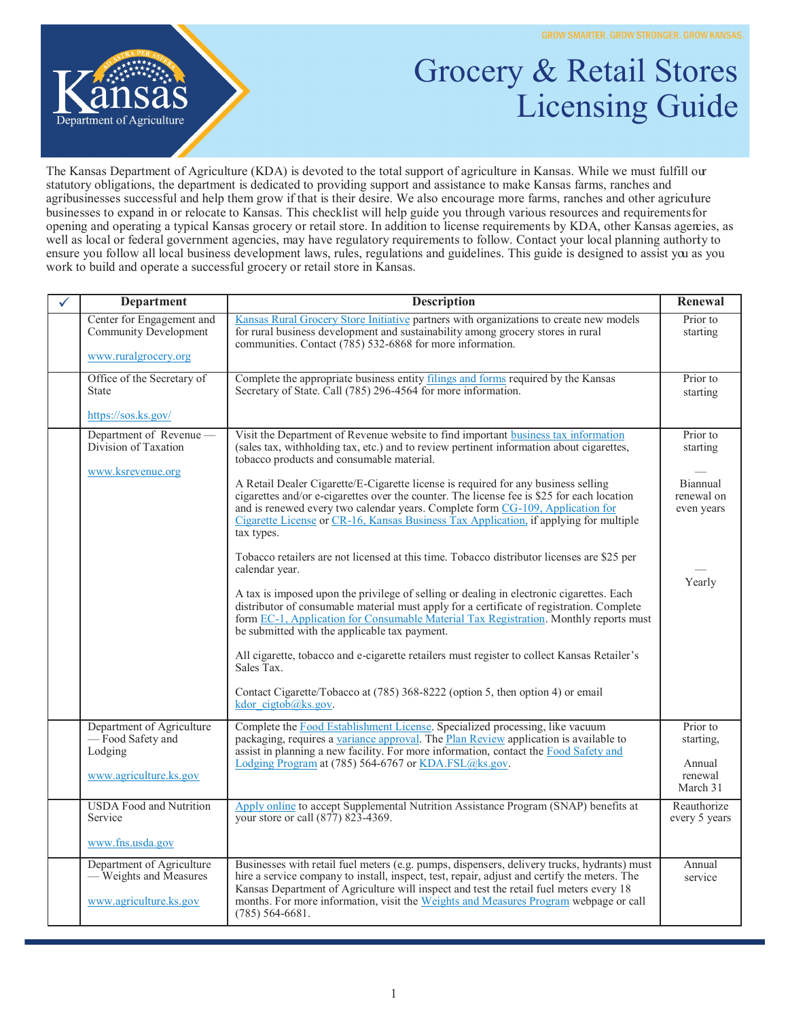

## Grocery & Retail Stores Licensing Guide

The Kansas Department of Agriculture (KDA) is devoted to the total support of agriculture in Kansas. While we must fulfill our statutory obligations, the department is dedicated to providing support and assistance to make Kansas farms, ranches and agribusinesses successful and help them grow if that is their desire. We also encourage more farms, ranches and other agriculture businesses to expand in or relocate to Kansas. This checklist will help guide you through various resources and requirements for opening and operating a typical Kansas grocery or retail store. In addition to license requirements by KDA, other Kansas agencies, as well as local or federal government agencies, may have regulatory requirements to follow. Contact your local planning authority to ensure you follow all local business development laws, rules, regulations and guidelines. This guide is designed to assist you as you work to build and operate a successful grocery or retail store in Kansas.

| <b>Department</b>                                                             | <b>Description</b>                                                                                                                                                                                                                                                                                                                                                                                 | Renewal                              |
|-------------------------------------------------------------------------------|----------------------------------------------------------------------------------------------------------------------------------------------------------------------------------------------------------------------------------------------------------------------------------------------------------------------------------------------------------------------------------------------------|--------------------------------------|
| Center for Engagement and<br>Community Development<br>www.ruralgrocery.org    | Kansas Rural Grocery Store Initiative partners with organizations to create new models<br>for rural business development and sustainability among grocery stores in rural<br>communities. Contact (785) 532-6868 for more information.                                                                                                                                                             | Prior to<br>starting                 |
|                                                                               |                                                                                                                                                                                                                                                                                                                                                                                                    |                                      |
| Office of the Secretary of<br><b>State</b>                                    | Complete the appropriate business entity filings and forms required by the Kansas<br>Secretary of State. Call (785) 296-4564 for more information.                                                                                                                                                                                                                                                 | Prior to<br>starting                 |
| https://sos.ks.gov/                                                           |                                                                                                                                                                                                                                                                                                                                                                                                    |                                      |
| Department of Revenue -<br>Division of Taxation<br>www.ksrevenue.org          | Visit the Department of Revenue website to find important business tax information<br>(sales tax, withholding tax, etc.) and to review pertinent information about cigarettes,<br>tobacco products and consumable material.                                                                                                                                                                        | Prior to<br>starting                 |
|                                                                               | A Retail Dealer Cigarette/E-Cigarette license is required for any business selling<br>cigarettes and/or e-cigarettes over the counter. The license fee is \$25 for each location<br>and is renewed every two calendar years. Complete form CG-109, Application for<br>Cigarette License or CR-16, Kansas Business Tax Application, if applying for multiple<br>tax types.                          | Biannual<br>renewal on<br>even years |
|                                                                               | Tobacco retailers are not licensed at this time. Tobacco distributor licenses are \$25 per<br>calendar year.                                                                                                                                                                                                                                                                                       | Yearly                               |
|                                                                               | A tax is imposed upon the privilege of selling or dealing in electronic cigarettes. Each<br>distributor of consumable material must apply for a certificate of registration. Complete<br>form EC-1, Application for Consumable Material Tax Registration. Monthly reports must<br>be submitted with the applicable tax payment.                                                                    |                                      |
|                                                                               | All cigarette, tobacco and e-cigarette retailers must register to collect Kansas Retailer's<br>Sales Tax.                                                                                                                                                                                                                                                                                          |                                      |
|                                                                               | Contact Cigarette/Tobacco at (785) 368-8222 (option 5, then option 4) or email<br>kdor cigtob@ks.gov.                                                                                                                                                                                                                                                                                              |                                      |
| Department of Agriculture<br>-Food Safety and<br>Lodging                      | Complete the Food Establishment License. Specialized processing, like vacuum<br>packaging, requires a variance approval. The Plan Review application is available to<br>assist in planning a new facility. For more information, contact the Food Safety and                                                                                                                                       | Prior to<br>starting,                |
| www.agriculture.ks.gov                                                        | Lodging Program at (785) 564-6767 or KDA.FSL@ks.gov.                                                                                                                                                                                                                                                                                                                                               | Annual<br>renewal<br>March 31        |
| <b>USDA</b> Food and Nutrition<br>Service                                     | Apply online to accept Supplemental Nutrition Assistance Program (SNAP) benefits at<br>your store or call (877) 823-4369.                                                                                                                                                                                                                                                                          | Reauthorize<br>every 5 years         |
| www.fns.usda.gov                                                              |                                                                                                                                                                                                                                                                                                                                                                                                    |                                      |
| Department of Agriculture<br>- Weights and Measures<br>www.agriculture.ks.gov | Businesses with retail fuel meters (e.g. pumps, dispensers, delivery trucks, hydrants) must<br>hire a service company to install, inspect, test, repair, adjust and certify the meters. The<br>Kansas Department of Agriculture will inspect and test the retail fuel meters every 18<br>months. For more information, visit the Weights and Measures Program webpage or call<br>$(785)$ 564-6681. | Annual<br>service                    |